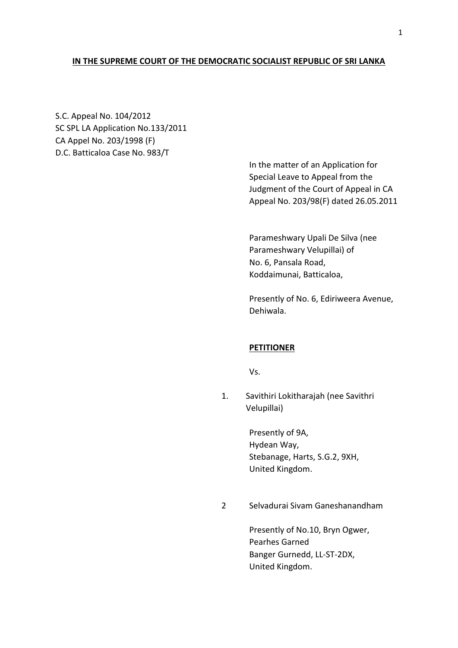## **IN THE SUPREME COURT OF THE DEMOCRATIC SOCIALIST REPUBLIC OF SRI LANKA**

S.C. Appeal No. 104/2012 SC SPL LA Application No.133/2011 CA Appel No. 203/1998 (F) D.C. Batticaloa Case No. 983/T

> In the matter of an Application for Special Leave to Appeal from the Judgment of the Court of Appeal in CA Appeal No. 203/98(F) dated 26.05.2011

Parameshwary Upali De Silva (nee Parameshwary Velupillai) of No. 6, Pansala Road, Koddaimunai, Batticaloa,

Presently of No. 6, Ediriweera Avenue, Dehiwala.

### **PETITIONER**

Vs.

1. Savithiri Lokitharajah (nee Savithri Velupillai)

> Presently of 9A, Hydean Way, Stebanage, Harts, S.G.2, 9XH, United Kingdom.

2 Selvadurai Sivam Ganeshanandham

Presently of No.10, Bryn Ogwer, Pearhes Garned Banger Gurnedd, LL-ST-2DX, United Kingdom.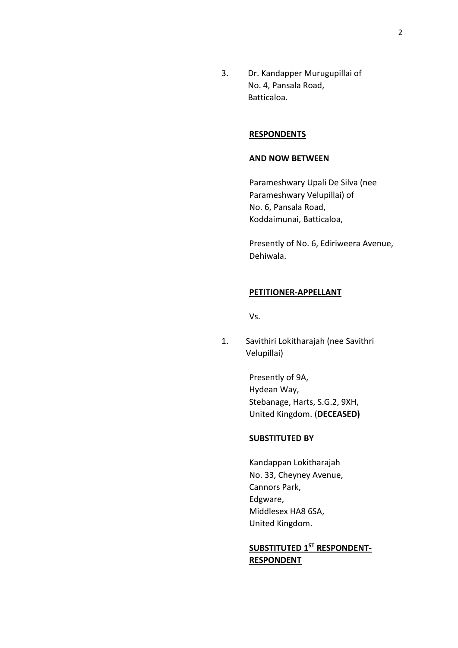3. Dr. Kandapper Murugupillai of No. 4, Pansala Road, Batticaloa.

### **RESPONDENTS**

### **AND NOW BETWEEN**

Parameshwary Upali De Silva (nee Parameshwary Velupillai) of No. 6, Pansala Road, Koddaimunai, Batticaloa,

Presently of No. 6, Ediriweera Avenue, Dehiwala.

### **PETITIONER-APPELLANT**

Vs.

1. Savithiri Lokitharajah (nee Savithri Velupillai)

> Presently of 9A, Hydean Way, Stebanage, Harts, S.G.2, 9XH, United Kingdom. (**DECEASED)**

#### **SUBSTITUTED BY**

Kandappan Lokitharajah No. 33, Cheyney Avenue, Cannors Park, Edgware, Middlesex HA8 6SA, United Kingdom.

## **SUBSTITUTED 1ST RESPONDENT-RESPONDENT**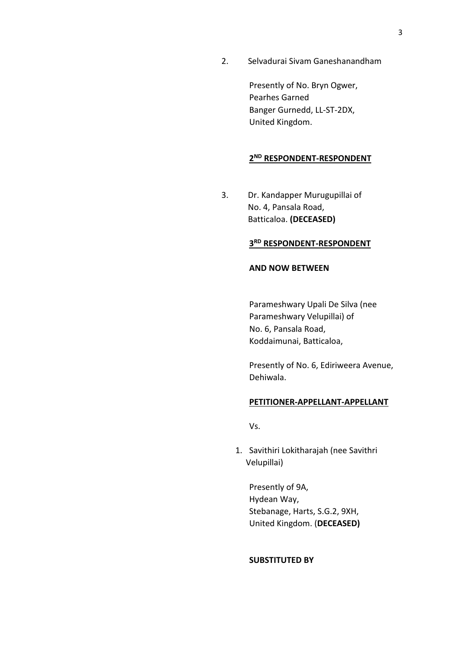2. Selvadurai Sivam Ganeshanandham

Presently of No. Bryn Ogwer, Pearhes Garned Banger Gurnedd, LL-ST-2DX, United Kingdom.

## **2 ND RESPONDENT-RESPONDENT**

3. Dr. Kandapper Murugupillai of No. 4, Pansala Road, Batticaloa. **(DECEASED)**

## **3 RD RESPONDENT-RESPONDENT**

## **AND NOW BETWEEN**

Parameshwary Upali De Silva (nee Parameshwary Velupillai) of No. 6, Pansala Road, Koddaimunai, Batticaloa,

Presently of No. 6, Ediriweera Avenue, Dehiwala.

#### **PETITIONER-APPELLANT-APPELLANT**

Vs.

1. Savithiri Lokitharajah (nee Savithri Velupillai)

Presently of 9A, Hydean Way, Stebanage, Harts, S.G.2, 9XH, United Kingdom. (**DECEASED)**

## **SUBSTITUTED BY**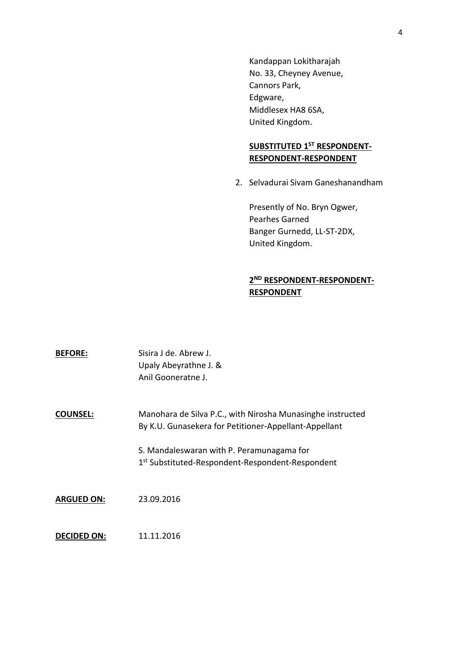Kandappan Lokitharajah No. 33, Cheyney Avenue, Cannors Park, Edgware, Middlesex HA8 6SA, United Kingdom.

# **SUBSTITUTED 1ST RESPONDENT-RESPONDENT-RESPONDENT**

2. Selvadurai Sivam Ganeshanandham

Presently of No. Bryn Ogwer, Pearhes Garned Banger Gurnedd, LL-ST-2DX, United Kingdom.

## **2 ND RESPONDENT-RESPONDENT-RESPONDENT**

| <b>BEFORE:</b>     | Sisira J de. Abrew J.<br>Upaly Abeyrathne J. &<br>Anil Gooneratne J.                                                |
|--------------------|---------------------------------------------------------------------------------------------------------------------|
| <b>COUNSEL:</b>    | Manohara de Silva P.C., with Nirosha Munasinghe instructed<br>By K.U. Gunasekera for Petitioner-Appellant-Appellant |
|                    | S. Mandaleswaran with P. Peramunagama for<br>1 <sup>st</sup> Substituted-Respondent-Respondent-Respondent           |
| <b>ARGUED ON:</b>  | 23.09.2016                                                                                                          |
| <b>DECIDED ON:</b> | 11.11.2016                                                                                                          |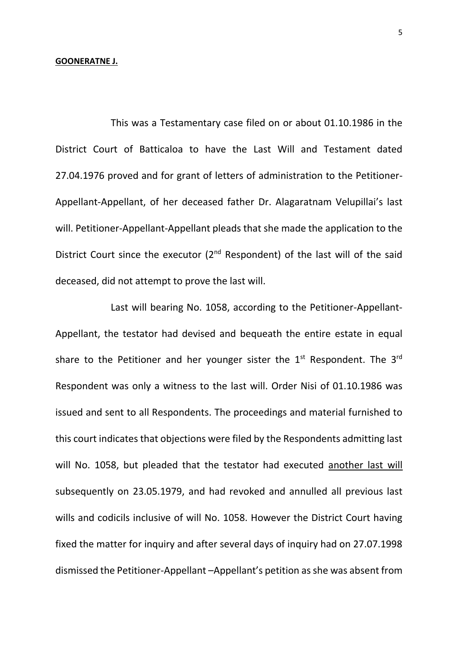#### **GOONERATNE J.**

This was a Testamentary case filed on or about 01.10.1986 in the District Court of Batticaloa to have the Last Will and Testament dated 27.04.1976 proved and for grant of letters of administration to the Petitioner-Appellant-Appellant, of her deceased father Dr. Alagaratnam Velupillai's last will. Petitioner-Appellant-Appellant pleads that she made the application to the District Court since the executor  $(2^{nd}$  Respondent) of the last will of the said deceased, did not attempt to prove the last will.

Last will bearing No. 1058, according to the Petitioner-Appellant-Appellant, the testator had devised and bequeath the entire estate in equal share to the Petitioner and her younger sister the  $1<sup>st</sup>$  Respondent. The  $3<sup>rd</sup>$ Respondent was only a witness to the last will. Order Nisi of 01.10.1986 was issued and sent to all Respondents. The proceedings and material furnished to this court indicates that objections were filed by the Respondents admitting last will No. 1058, but pleaded that the testator had executed another last will subsequently on 23.05.1979, and had revoked and annulled all previous last wills and codicils inclusive of will No. 1058. However the District Court having fixed the matter for inquiry and after several days of inquiry had on 27.07.1998 dismissed the Petitioner-Appellant –Appellant's petition as she was absent from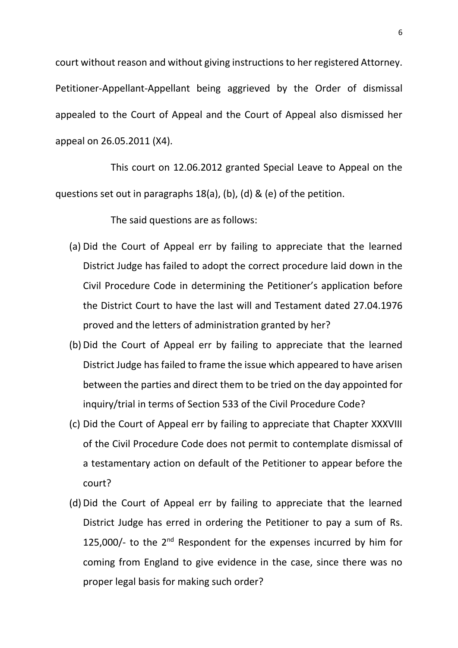court without reason and without giving instructions to her registered Attorney. Petitioner-Appellant-Appellant being aggrieved by the Order of dismissal appealed to the Court of Appeal and the Court of Appeal also dismissed her appeal on 26.05.2011 (X4).

This court on 12.06.2012 granted Special Leave to Appeal on the questions set out in paragraphs 18(a), (b), (d) & (e) of the petition.

The said questions are as follows:

- (a) Did the Court of Appeal err by failing to appreciate that the learned District Judge has failed to adopt the correct procedure laid down in the Civil Procedure Code in determining the Petitioner's application before the District Court to have the last will and Testament dated 27.04.1976 proved and the letters of administration granted by her?
- (b) Did the Court of Appeal err by failing to appreciate that the learned District Judge has failed to frame the issue which appeared to have arisen between the parties and direct them to be tried on the day appointed for inquiry/trial in terms of Section 533 of the Civil Procedure Code?
- (c) Did the Court of Appeal err by failing to appreciate that Chapter XXXVIII of the Civil Procedure Code does not permit to contemplate dismissal of a testamentary action on default of the Petitioner to appear before the court?
- (d) Did the Court of Appeal err by failing to appreciate that the learned District Judge has erred in ordering the Petitioner to pay a sum of Rs. 125,000/- to the  $2<sup>nd</sup>$  Respondent for the expenses incurred by him for coming from England to give evidence in the case, since there was no proper legal basis for making such order?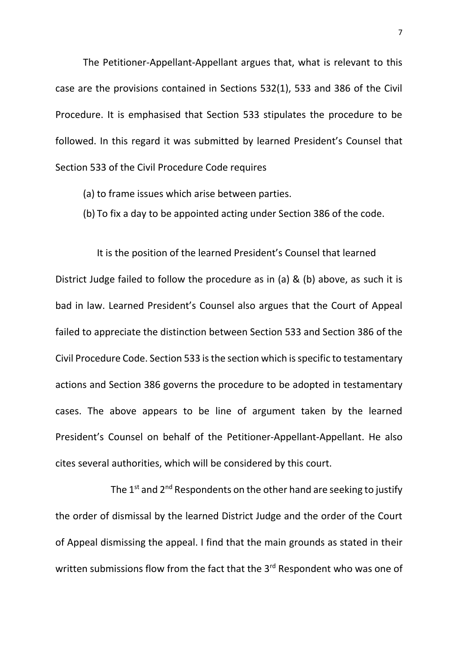The Petitioner-Appellant-Appellant argues that, what is relevant to this case are the provisions contained in Sections 532(1), 533 and 386 of the Civil Procedure. It is emphasised that Section 533 stipulates the procedure to be followed. In this regard it was submitted by learned President's Counsel that Section 533 of the Civil Procedure Code requires

- (a) to frame issues which arise between parties.
- (b) To fix a day to be appointed acting under Section 386 of the code.

It is the position of the learned President's Counsel that learned District Judge failed to follow the procedure as in (a) & (b) above, as such it is bad in law. Learned President's Counsel also argues that the Court of Appeal failed to appreciate the distinction between Section 533 and Section 386 of the Civil Procedure Code. Section 533 is the section which is specific to testamentary actions and Section 386 governs the procedure to be adopted in testamentary cases. The above appears to be line of argument taken by the learned President's Counsel on behalf of the Petitioner-Appellant-Appellant. He also cites several authorities, which will be considered by this court.

The 1<sup>st</sup> and 2<sup>nd</sup> Respondents on the other hand are seeking to justify the order of dismissal by the learned District Judge and the order of the Court of Appeal dismissing the appeal. I find that the main grounds as stated in their written submissions flow from the fact that the 3<sup>rd</sup> Respondent who was one of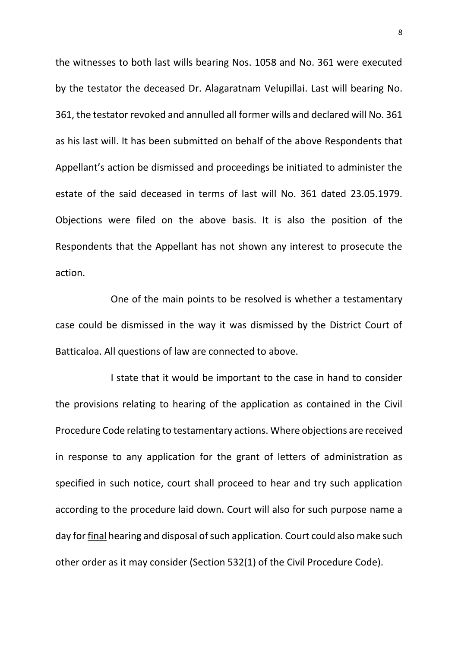the witnesses to both last wills bearing Nos. 1058 and No. 361 were executed by the testator the deceased Dr. Alagaratnam Velupillai. Last will bearing No. 361, the testator revoked and annulled all former wills and declared will No. 361 as his last will. It has been submitted on behalf of the above Respondents that Appellant's action be dismissed and proceedings be initiated to administer the estate of the said deceased in terms of last will No. 361 dated 23.05.1979. Objections were filed on the above basis. It is also the position of the Respondents that the Appellant has not shown any interest to prosecute the action.

One of the main points to be resolved is whether a testamentary case could be dismissed in the way it was dismissed by the District Court of Batticaloa. All questions of law are connected to above.

I state that it would be important to the case in hand to consider the provisions relating to hearing of the application as contained in the Civil Procedure Code relating to testamentary actions. Where objections are received in response to any application for the grant of letters of administration as specified in such notice, court shall proceed to hear and try such application according to the procedure laid down. Court will also for such purpose name a day for final hearing and disposal of such application. Court could also make such other order as it may consider (Section 532(1) of the Civil Procedure Code).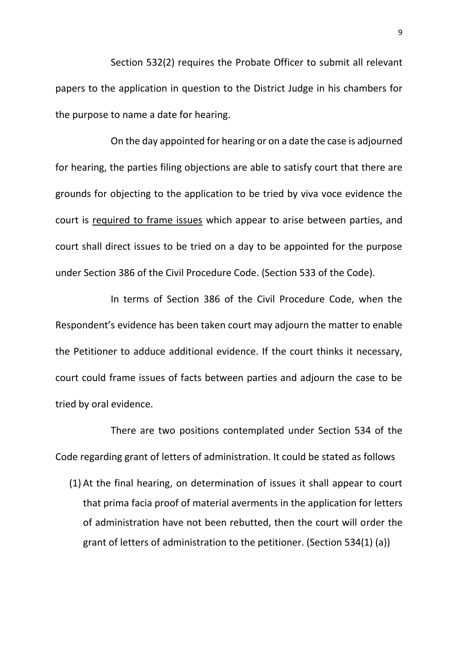Section 532(2) requires the Probate Officer to submit all relevant papers to the application in question to the District Judge in his chambers for the purpose to name a date for hearing.

On the day appointed for hearing or on a date the case is adjourned for hearing, the parties filing objections are able to satisfy court that there are grounds for objecting to the application to be tried by viva voce evidence the court is required to frame issues which appear to arise between parties, and court shall direct issues to be tried on a day to be appointed for the purpose under Section 386 of the Civil Procedure Code. (Section 533 of the Code).

In terms of Section 386 of the Civil Procedure Code, when the Respondent's evidence has been taken court may adjourn the matter to enable the Petitioner to adduce additional evidence. If the court thinks it necessary, court could frame issues of facts between parties and adjourn the case to be tried by oral evidence.

There are two positions contemplated under Section 534 of the Code regarding grant of letters of administration. It could be stated as follows

(1) At the final hearing, on determination of issues it shall appear to court that prima facia proof of material averments in the application for letters of administration have not been rebutted, then the court will order the grant of letters of administration to the petitioner. (Section 534(1) (a))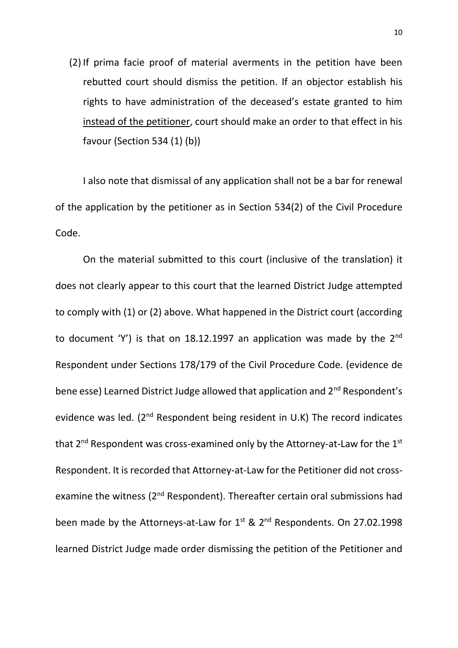(2) If prima facie proof of material averments in the petition have been rebutted court should dismiss the petition. If an objector establish his rights to have administration of the deceased's estate granted to him instead of the petitioner, court should make an order to that effect in his favour (Section 534 (1) (b))

I also note that dismissal of any application shall not be a bar for renewal of the application by the petitioner as in Section 534(2) of the Civil Procedure Code.

On the material submitted to this court (inclusive of the translation) it does not clearly appear to this court that the learned District Judge attempted to comply with (1) or (2) above. What happened in the District court (according to document 'Y') is that on 18.12.1997 an application was made by the  $2^{nd}$ Respondent under Sections 178/179 of the Civil Procedure Code. (evidence de bene esse) Learned District Judge allowed that application and 2<sup>nd</sup> Respondent's evidence was led.  $(2^{nd}$  Respondent being resident in U.K) The record indicates that  $2^{nd}$  Respondent was cross-examined only by the Attorney-at-Law for the  $1^{st}$ Respondent. It is recorded that Attorney-at-Law for the Petitioner did not crossexamine the witness (2<sup>nd</sup> Respondent). Thereafter certain oral submissions had been made by the Attorneys-at-Law for  $1^{st}$  &  $2^{nd}$  Respondents. On 27.02.1998 learned District Judge made order dismissing the petition of the Petitioner and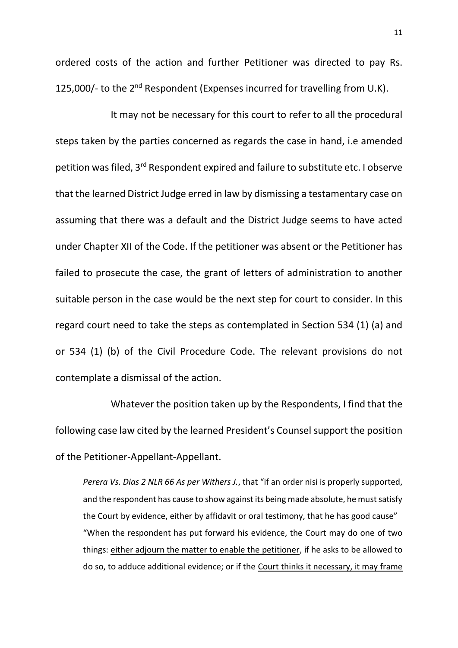ordered costs of the action and further Petitioner was directed to pay Rs. 125,000/- to the  $2^{nd}$  Respondent (Expenses incurred for travelling from U.K).

It may not be necessary for this court to refer to all the procedural steps taken by the parties concerned as regards the case in hand, i.e amended petition was filed, 3<sup>rd</sup> Respondent expired and failure to substitute etc. I observe that the learned District Judge erred in law by dismissing a testamentary case on assuming that there was a default and the District Judge seems to have acted under Chapter XII of the Code. If the petitioner was absent or the Petitioner has failed to prosecute the case, the grant of letters of administration to another suitable person in the case would be the next step for court to consider. In this regard court need to take the steps as contemplated in Section 534 (1) (a) and or 534 (1) (b) of the Civil Procedure Code. The relevant provisions do not contemplate a dismissal of the action.

Whatever the position taken up by the Respondents, I find that the following case law cited by the learned President's Counsel support the position of the Petitioner-Appellant-Appellant.

*Perera Vs. Dias 2 NLR 66 As per Withers J.*, that "if an order nisi is properly supported, and the respondent has cause to show against its being made absolute, he must satisfy the Court by evidence, either by affidavit or oral testimony, that he has good cause" "When the respondent has put forward his evidence, the Court may do one of two things: either adjourn the matter to enable the petitioner, if he asks to be allowed to do so, to adduce additional evidence; or if the Court thinks it necessary, it may frame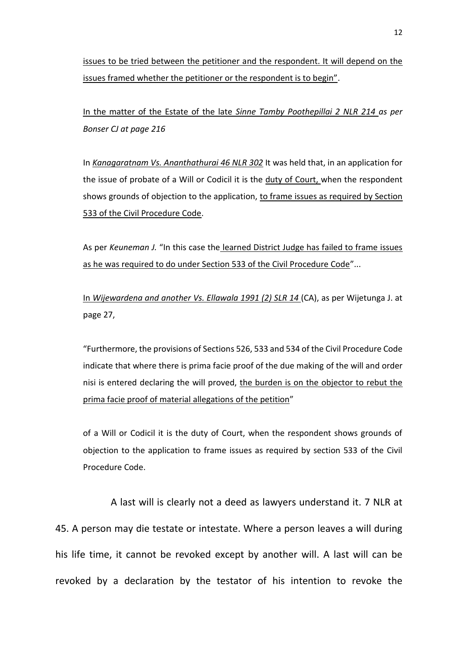issues to be tried between the petitioner and the respondent. It will depend on the issues framed whether the petitioner or the respondent is to begin".

In the matter of the Estate of the late *Sinne Tamby Poothepillai 2 NLR 214 as per Bonser CJ at page 216*

In *Kanagaratnam Vs. Ananthathurai 46 NLR 302* It was held that, in an application for the issue of probate of a Will or Codicil it is the duty of Court, when the respondent shows grounds of objection to the application, to frame issues as required by Section 533 of the Civil Procedure Code.

As per *Keuneman J.* "In this case the learned District Judge has failed to frame issues as he was required to do under Section 533 of the Civil Procedure Code"...

In *Wijewardena and another Vs. Ellawala 1991 (2) SLR 14* (CA), as per Wijetunga J. at page 27,

"Furthermore, the provisions of Sections 526, 533 and 534 of the Civil Procedure Code indicate that where there is prima facie proof of the due making of the will and order nisi is entered declaring the will proved, the burden is on the objector to rebut the prima facie proof of material allegations of the petition"

of a Will or Codicil it is the duty of Court, when the respondent shows grounds of objection to the application to frame issues as required by section 533 of the Civil Procedure Code.

A last will is clearly not a deed as lawyers understand it. 7 NLR at 45. A person may die testate or intestate. Where a person leaves a will during his life time, it cannot be revoked except by another will. A last will can be revoked by a declaration by the testator of his intention to revoke the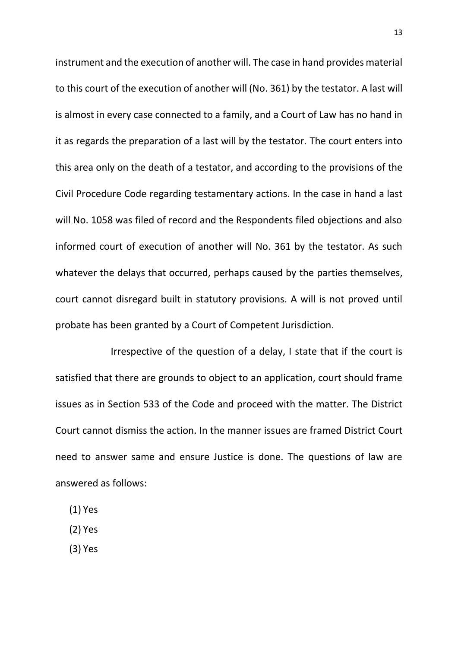instrument and the execution of another will. The case in hand provides material to this court of the execution of another will (No. 361) by the testator. A last will is almost in every case connected to a family, and a Court of Law has no hand in it as regards the preparation of a last will by the testator. The court enters into this area only on the death of a testator, and according to the provisions of the Civil Procedure Code regarding testamentary actions. In the case in hand a last will No. 1058 was filed of record and the Respondents filed objections and also informed court of execution of another will No. 361 by the testator. As such whatever the delays that occurred, perhaps caused by the parties themselves, court cannot disregard built in statutory provisions. A will is not proved until probate has been granted by a Court of Competent Jurisdiction.

Irrespective of the question of a delay, I state that if the court is satisfied that there are grounds to object to an application, court should frame issues as in Section 533 of the Code and proceed with the matter. The District Court cannot dismiss the action. In the manner issues are framed District Court need to answer same and ensure Justice is done. The questions of law are answered as follows:

- (1) Yes
- (2) Yes
- (3) Yes